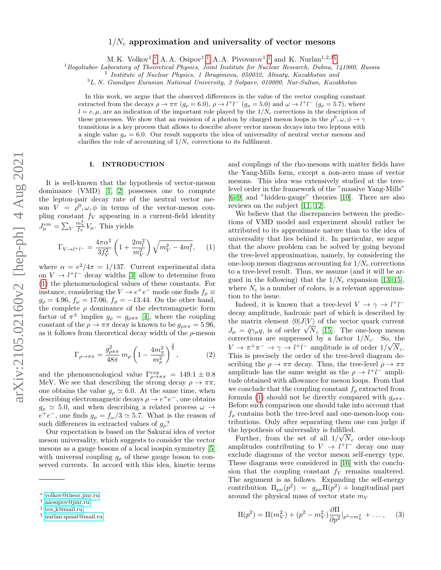# $1/N_c$  approximation and universality of vector mesons

M. K. Volkov<sup>1</sup>,\* A. A. Osipov<sup>1</sup>,<sup>[†](#page-0-1)</sup> A. A. Pivovarov<sup>1</sup>,<sup>[‡](#page-0-2)</sup> and K. Nurlan<sup>1,2,3[§](#page-0-3)</sup>

<sup>1</sup>Bogoliubov Laboratory of Theoretical Physics, Joint Institute for Nuclear Research, Dubna, 141980, Russia

<sup>2</sup> Institute of Nuclear Physics, 1 Ibragimova, 050032, Almaty, Kazakhstan and

<sup>3</sup>L. N. Gumilyov Eurasian National University, 2 Satpaev, 010000, Nur-Sultan, Kazakhstan

In this work, we argue that the observed differences in the value of the vector coupling constant extracted from the decays  $\rho \to \pi \pi$  ( $g_{\rho} = 6.0$ ),  $\rho \to l^{+}l^{-}$  ( $g_{\rho} = 5.0$ ) and  $\omega \to l^{+}l^{-}$  ( $g_{\rho} = 5.7$ ), where  $l = e, \mu$ , are an indication of the important role played by the  $1/N_c$  corrections in the description of these processes. We show that an emission of a photon by charged meson loops in the  $\rho^0, \omega, \phi \to \gamma$ transitions is a key process that allows to describe above vector meson decays into two leptons with a single value  $g_{\rho} = 6.0$ . Our result supports the idea of universality of neutral vector mesons and clarifies the role of accounting of  $1/N_c$  corrections to its fulfilment.

## I. INTRODUCTION

It is well-known that the hypothesis of vector-meson dominance (VMD) [\[1,](#page-8-0) [2\]](#page-8-1) possesses one to compute the lepton-pair decay rate of the neutral vector meson  $V = \rho^0, \omega, \phi$  in terms of the vector-meson coupling constant  $f_V$  appearing in a current-field identity  $J_{\mu}^{em} = \sum_{V}$  $\frac{m_V^2}{f_V}V_\mu$ . This yields

<span id="page-0-4"></span>
$$
\Gamma_{V \to l^{+}l^{-}} = \frac{4\pi\alpha^{2}}{3f_{V}^{2}} \left(1 + \frac{2m_{l}^{2}}{m_{V}^{2}}\right) \sqrt{m_{V}^{2} - 4m_{l}^{2}}, \quad (1)
$$

where  $\alpha = e^2/4\pi = 1/137$ . Current experimental data on  $V \to l^+l^-$  decay widths [\[3\]](#page-8-2) allow to determine from [\(1\)](#page-0-4) the phenomenological values of these constants. For instance, considering the  $V \to e^+e^-$  mode one finds  $f_\rho \equiv$  $g_{\rho} = 4.96, f_{\omega} = 17.06, f_{\phi} = -13.44$ . On the other hand, the complete  $\rho$  dominance of the electromagnetic form factor of  $\pi^{\pm}$  implies  $g_{\rho} = g_{\rho\pi\pi}$  [\[4\]](#page-8-3), where the coupling constant of the  $\rho \to \pi\pi$  decay is known to be  $g_{\rho\pi\pi} = 5.96$ , as it follows from theoretical decay width of the  $\rho$ -meson

$$
\Gamma_{\rho\to\pi\pi} = \frac{g_{\rho\pi\pi}^2}{48\pi} m_\rho \left(1 - \frac{4m_\pi^2}{m_\rho^2}\right)^{\frac{3}{2}},\tag{2}
$$

and the phenomenological value  $\Gamma^{exp}_{\rho \to \pi \pi} = 149.1 \pm 0.8$ MeV. We see that describing the strong decay  $\rho \to \pi \pi$ , one obtains the value  $g_{\rho} \simeq 6.0$ . At the same time, when describing electromagnetic decays  $\rho \to e^+e^-$ , one obtains  $g_{\rho} \simeq$  5.0, and when describing a related process  $\omega \rightarrow$  $e^+e^-$ , one finds  $g_\rho = f_\omega/3 \simeq 5.7$ . What is the reason of such differences in extracted values of  $g_{\rho}$ ?

Our expectation is based on the Sakurai idea of vector meson universality, which suggests to consider the vector mesons as a gauge bosons of a local isospin symmetry [\[5\]](#page-8-4) with universal coupling  $g_{\rho}$  of these gauge boson to conserved currents. In accord with this idea, kinetic terms and couplings of the rho-mesons with matter fields have the Yang-Mills form, except a non-zero mass of vector mesons. This idea was extensively studied at the treelevel order in the framework of the "massive Yang-Mills" [\[6–](#page-8-5)[9\]](#page-8-6) and "hidden-gauge" theories [\[10\]](#page-8-7). There are also reviews on the subject [\[11,](#page-8-8) [12\]](#page-8-9).

We believe that the discrepancies between the predictions of VMD model and experiment should rather be attributed to its approximate nature than to the idea of universality that lies behind it. In particular, we argue that the above problem can be solved by going beyond the tree-level approximation, namely, by considering the one-loop meson diagrams accounting for  $1/N_c$  corrections to a tree-level result. Thus, we assume (and it will be argued in the following) that the  $1/N_c$  expansion [\[13–](#page-8-10)[15\]](#page-8-11), where  $N_c$  is a number of colors, is a relevant approximation to the issue.

Indeed, it is known that a tree-level  $V \to \gamma \to l^+l^$ decay amplitude, hadronic part of which is described by the matrix element  $\langle 0|J|V \rangle$  of the vector quark current The matrix element  $\langle 0 | J | V \rangle$  or the vector quark current  $J_{\mu} = \bar{q} \gamma_{\mu} q$ , is of order  $\sqrt{N_c}$  [\[15\]](#page-8-11). The one-loop meson corrections are suppressed by a factor  $1/N_c$ . So, the  $V \to \pi^+\pi^- \to \gamma \to l^+l^-$  amplitude is of order  $1/\sqrt{N_c}$ . This is precisely the order of the tree-level diagram describing the  $\rho \to \pi\pi$  decay. Thus, the tree-level  $\rho \to \pi\pi$ amplitude has the same weight as the  $\rho \rightarrow l^+l^-$  amplitude obtained with allowance for meson loops. From that we conclude that the coupling constant  $f<sub>o</sub>$  extracted from formula [\(1\)](#page-0-4) should not be directly compared with  $g_{\rho\pi\pi}$ . Before such comparison one should take into account that  $f_{\rho}$  contains both the tree-level and one-meson-loop contributions. Only after separating them one can judge if the hypothesis of universality is fulfilled.

Further, from the set of all  $1/\sqrt{N_c}$  order one-loop amplitudes contributing to  $V \rightarrow l^+l^-$  decay one may exclude diagrams of the vector meson self-energy type. These diagrams were considered in [\[16\]](#page-8-12) with the conclusion that the coupling constant  $f_V$  remains unaltered. The argument is as follows. Expanding the self-energy contribution  $\Pi_{\mu\nu}(p^2) = g_{\mu\nu} \Pi(p^2) + \text{longitudinal part}$ around the physical mass of vector state  $m_V$ 

<span id="page-0-5"></span>
$$
\Pi(p^2) = \Pi(m_V^2) + (p^2 - m_V^2) \frac{\partial \Pi}{\partial p^2} \Big|_{p^2 = m_V^2} + \dots, \quad (3)
$$

<span id="page-0-0"></span><sup>∗</sup> [volkov@theor.jinr.ru](mailto:volkov@theor.jinr.ru)

<span id="page-0-1"></span><sup>†</sup> [aaosipov@jinr.ru](mailto:aaosipov@jinr.ru)

<span id="page-0-2"></span><sup>‡</sup> tex [k@mail.ru](mailto:tex$_$k@mail.ru)

<span id="page-0-3"></span><sup>§</sup> [nurlan.qanat@mail.ru](mailto:nurlan.qanat@mail.ru)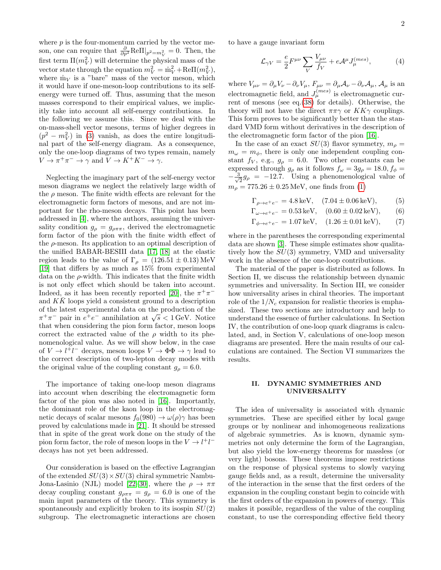where  $p$  is the four-momentum carried by the vector meson, one can require that  $\frac{\partial}{\partial p^2}$ Re $\Pi|_{p^2=m_V^2}=0$ . Then, the first term  $\Pi(m_V^2)$  will determine the physical mass of the vector state through the equation  $m_V^2 = \mathring{m}_V^2 + \text{Re}\Pi(m_V^2)$ , where  $\hat{m}_V$  is a "bare" mass of the vector meson, which it would have if one-meson-loop contributions to its selfenergy were turned off. Thus, assuming that the meson masses correspond to their empirical values, we implicitly take into account all self-energy contributions. In the following we assume this. Since we deal with the on-mass-shell vector mesons, terms of higher degrees in  $(p^2 - m_V^2)$  in [\(3\)](#page-0-5) vanish, as does the entire longitudinal part of the self-energy diagram. As a consequence, only the one-loop diagrams of two types remain, namely  $V \to \pi^+ \pi^- \to \gamma$  and  $V \to K^+ K^- \to \gamma$ .

Neglecting the imaginary part of the self-energy vector meson diagrams we neglect the relatively large width of the  $\rho$  meson. The finite width effects are relevant for the electromagnetic form factors of mesons, and are not important for the rho-meson decays. This point has been addressed in [\[4\]](#page-8-3), where the authors, assuming the universality condition  $g_{\rho} = g_{\rho\pi\pi}$ , derived the electromagnetic form factor of the pion with the finite width effect of the  $\rho$ -meson. Its application to an optimal description of the unified BABAR-BESIII data [\[17,](#page-8-13) [18\]](#page-8-14) at the elastic region leads to the value of  $\Gamma_{\rho} = (126.51 \pm 0.13)$  MeV [\[19\]](#page-8-15) that differs by as much as 15% from experimental data on the  $\rho$ -width. This indicates that the finite width is not only effect which should be taken into account. Indeed, as it has been recently reported [\[20\]](#page-8-16), the  $\pi^+\pi^$ and  $K\bar{K}$  loops yield a consistent ground to a description of the latest experimental data on the production of the of the latest experimental data on the production of the  $\pi^+\pi^-$  pair in  $e^+e^-$  annihilation at  $\sqrt{s} < 1$  GeV. Notice that when considering the pion form factor, meson loops correct the extracted value of the  $\rho$  width to its phenomenological value. As we will show below, in the case of  $V \to l^{\dagger}l^{\dagger}$  decays, meson loops  $V \to \Phi\Phi \to \gamma$  lead to the correct description of two-lepton decay modes with the original value of the coupling constant  $g_{\rho} = 6.0$ .

The importance of taking one-loop meson diagrams into account when describing the electromagnetic form factor of the pion was also noted in [\[16\]](#page-8-12). Importantly, the dominant role of the kaon loop in the electromagnetic decays of scalar mesons  $f_0(980) \rightarrow \omega(\rho)\gamma$  has been proved by calculations made in [\[21\]](#page-8-17). It should be stressed that in spite of the great work done on the study of the pion form factor, the role of meson loops in the  $V \to l^+l^$ decays has not yet been addressed.

Our consideration is based on the effective Lagrangian of the extended  $SU(3) \times SU(3)$  chiral symmetric Nambu-Jona-Lasinio (NJL) model [\[22](#page-8-18)[–30\]](#page-8-19), where the  $\rho \to \pi\pi$ decay coupling constant  $g_{\rho\pi\pi} = g_{\rho} = 6.0$  is one of the main input parameters of the theory. This symmetry is spontaneously and explicitly broken to its isospin  $SU(2)$ subgroup. The electromagnetic interactions are chosen to have a gauge invariant form

<span id="page-1-0"></span>
$$
\mathcal{L}_{\gamma V} = \frac{e}{2} F^{\mu \nu} \sum_{V} \frac{V_{\mu \nu}}{f_V} + e \mathcal{A}^{\mu} J_{\mu}^{(mes)}, \tag{4}
$$

where  $V_{\mu\nu} = \partial_{\mu}V_{\nu} - \partial_{\nu}V_{\mu}$ ,  $F_{\mu\nu} = \partial_{\mu}A_{\nu} - \partial_{\nu}A_{\mu}$ ,  $A_{\mu}$  is an electromagnetic field, and  $J_{\mu}^{(mes)}$  is electromagnetic current of mesons (see eq.[\(38\)](#page-6-0) for details). Otherwise, the theory will not have the direct  $\pi \pi \gamma$  or  $KK\gamma$  couplings. This form proves to be significantly better than the standard VMD form without derivatives in the description of the electromagnetic form factor of the pion [\[16\]](#page-8-12).

In the case of an exact  $SU(3)$  flavor symmetry,  $m<sub>o</sub>$  =  $m_{\omega} = m_{\phi}$ , there is only one independent coupling constant  $f_V$ , e.g.,  $g_\rho = 6.0$ . Two other constants can be expressed through  $g_{\rho}$  as it follows  $f_{\omega} = 3g_{\rho} = 18.0, f_{\phi} =$  $-\frac{3}{4}$  $\frac{1}{2}g_{\rho} = -12.7$ . Using a phenomenological value of  $m_{\rho} = 775.26 \pm 0.25 \,\text{MeV}$ , one finds from [\(1\)](#page-0-4)

$$
\Gamma_{\rho \to e^+e^-} = 4.8 \,\text{keV}, \quad (7.04 \pm 0.06 \,\text{keV}), \tag{5}
$$

$$
\Gamma_{\omega \to e^+e^-} = 0.53 \,\text{keV}, \quad (0.60 \pm 0.02 \,\text{keV}), \qquad (6)
$$

$$
\Gamma_{\phi \to e^+e^-} = 1.07 \,\text{keV}, \quad (1.26 \pm 0.01 \,\text{keV}), \tag{7}
$$

where in the parentheses the corresponding experimental data are shown [\[3\]](#page-8-2). These simple estimates show qualitatively how the  $SU(3)$  symmetry, VMD and universality work in the absence of the one-loop contributions.

The material of the paper is distributed as follows. In Section II, we discuss the relationship between dynamic symmetries and universality. In Section III, we consider how universality arises in chiral theories. The important role of the  $1/N_c$  expansion for realistic theories is emphasized. These two sections are introductory and help to understand the essence of further calculations. In Section IV, the contribution of one-loop quark diagrams is calculated, and, in Section V, calculations of one-loop meson diagrams are presented. Here the main results of our calculations are contained. The Section VI summarizes the results.

# II. DYNAMIC SYMMETRIES AND UNIVERSALITY

The idea of universality is associated with dynamic symmetries. These are specified either by local gauge groups or by nonlinear and inhomogeneous realizations of algebraic symmetries. As is known, dynamic symmetries not only determine the form of the Lagrangian, but also yield the low-energy theorems for massless (or very light) bosons. These theorems impose restrictions on the response of physical systems to slowly varying gauge fields and, as a result, determine the universality of the interaction in the sense that the first orders of the expansion in the coupling constant begin to coincide with the first orders of the expansion in powers of energy. This makes it possible, regardless of the value of the coupling constant, to use the corresponding effective field theory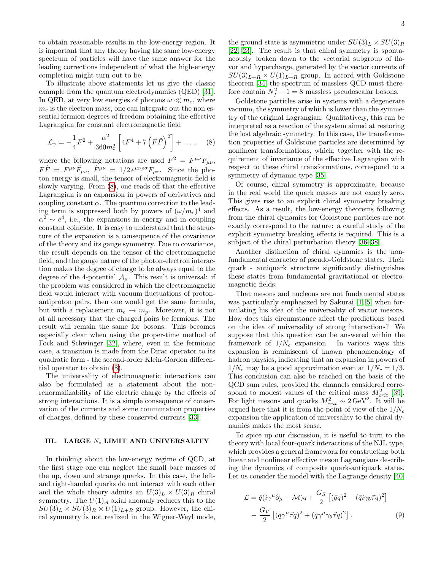to obtain reasonable results in the low-energy region. It is important that any theory having the same low-energy spectrum of particles will have the same answer for the leading corrections independent of what the high-energy completion might turn out to be.

To illustrate above statements let us give the classic example from the quantum electrodynamics (QED) [\[31\]](#page-8-20). In QED, at very low energies of photons  $\omega \ll m_e$ , where  $m_e$  is the electron mass, one can integrate out the non essential fermion degrees of freedom obtaining the effective Lagrangian for constant electromagnetic field

<span id="page-2-0"></span>
$$
\mathcal{L}_{\gamma} = -\frac{1}{4}F^2 + \frac{\alpha^2}{360m_e^2} \left[ 4F^4 + 7\left(F\tilde{F}\right)^2 \right] + \dots, \quad (8)
$$

where the following notations are used  $F^2 = F^{\mu\nu}F_{\mu\nu}$ ,  $F\tilde{F} = F^{\mu\nu}\tilde{F}_{\mu\nu}, \ \tilde{F}^{\mu\nu} = 1/2 e^{\mu\nu\rho\sigma}F_{\rho\sigma}$ . Since the photon energy is small, the tensor of electromagnetic field is slowly varying. From [\(8\)](#page-2-0), one reads off that the effective Lagrangian is an expansion in powers of derivatives and coupling constant  $\alpha$ . The quantum correction to the leading term is suppressed both by powers of  $(\omega/m_e)^4$  and  $\alpha^2 \sim e^4$ , i.e., the expansions in energy and in coupling constant coincide. It is easy to understand that the structure of the expansion is a consequence of the covariance of the theory and its gauge symmetry. Due to covariance, the result depends on the tensor of the electromagnetic field, and the gauge nature of the photon-electron interaction makes the degree of charge to be always equal to the degree of the 4-potential  $\mathcal{A}_{\mu}$ . This result is universal: if the problem was considered in which the electromagnetic field would interact with vacuum fluctuations of protonantiproton pairs, then one would get the same formula, but with a replacement  $m_e \rightarrow m_p$ . Moreover, it is not at all necessary that the charged pairs be fermions. The result will remain the same for bosons. This becomes especially clear when using the proper-time method of Fock and Schwinger [\[32\]](#page-8-21), where, even in the fermionic case, a transition is made from the Dirac operator to its quadratic form - the second-order Klein-Gordon differential operator to obtain [\(8\)](#page-2-0).

The universality of electromagnetic interactions can also be formulated as a statement about the nonrenormalizability of the electric charge by the effects of strong interactions. It is a simple consequence of conservation of the currents and some commutation properties of charges, defined by these conserved currents [\[33\]](#page-8-22).

# III. LARGE  $N_c$  LIMIT AND UNIVERSALITY

In thinking about the low-energy regime of QCD, at the first stage one can neglect the small bare masses of the up, down and strange quarks. In this case, the leftand right-handed quarks do not interact with each other and the whole theory admits an  $U(3)<sub>L</sub> \times U(3)<sub>R</sub>$  chiral symmetry. The  $U(1)<sub>A</sub>$  axial anomaly reduces this to the  $SU(3)_L \times SU(3)_R \times U(1)_{L+R}$  group. However, the chiral symmetry is not realized in the Wigner-Weyl mode,

the ground state is asymmetric under  $SU(3)_L \times SU(3)_R$ [\[22,](#page-8-18) [23\]](#page-8-23). The result is that chiral symmetry is spontaneously broken down to the vectorial subgroup of flavor and hypercharge, generated by the vector currents of  $SU(3)_{L+R} \times U(1)_{L+R}$  group. In accord with Goldstone theorem [\[34\]](#page-8-24) the spectrum of massless QCD must therefore contain  $N_f^2 - 1 = 8$  massless pseudoscalar bosons.

Goldstone particles arise in systems with a degenerate vacuum, the symmetry of which is lower than the symmetry of the original Lagrangian. Qualitatively, this can be interpreted as a reaction of the system aimed at restoring the lost algebraic symmetry. In this case, the transformation properties of Goldstone particles are determined by nonlinear transformations, which, together with the requirement of invariance of the effective Lagrangian with respect to these chiral transformations, correspond to a symmetry of dynamic type [\[35\]](#page-8-25).

Of course, chiral symmetry is approximate, because in the real world the quark masses are not exactly zero. This gives rise to an explicit chiral symmetry breaking effects. As a result, the low-energy theorems following from the chiral dynamics for Goldstone particles are not exactly correspond to the nature: a careful study of the explicit symmetry breaking effects is required. This is a subject of the chiral perturbation theory [\[36–](#page-8-26)[38\]](#page-8-27).

Another distinction of chiral dynamics is the nonfundamental character of pseudo-Goldstone states. Their quark - antiquark structure significantly distinguishes these states from fundamental gravitational or electromagnetic fields.

That mesons and nucleons are not fundamental states was particularly emphasized by Sakurai [\[1,](#page-8-0) [5\]](#page-8-4) when formulating his idea of the universality of vector mesons. How does this circumstance affect the predictions based on the idea of universality of strong interactions? We suppose that this question can be answered within the framework of  $1/N_c$  expansion. In various ways this expansion is reminiscent of known phenomenology of hadron physics, indicating that an expansion in powers of  $1/N_c$  may be a good approximation even at  $1/N_c = 1/3$ . This conclusion can also be reached on the basis of the QCD sum rules, provided the channels considered correspond to modest values of the critical mass  $M_{crit}^2$  [\[39\]](#page-8-28). For light mesons and quarks  $M_{crit}^2 \sim 2 \,\text{GeV}^2$ . It will be argued here that it is from the point of view of the  $1/N_c$ expansion the application of universality to the chiral dynamics makes the most sense.

To spice up our discussion, it is useful to turn to the theory with local four-quark interactions of the NJL type, which provides a general framework for constructing both linear and nonlinear effective meson Lagrangians describing the dynamics of composite quark-antiquark states. Let us consider the model with the Lagrange density [\[40\]](#page-8-29)

<span id="page-2-1"></span>
$$
\mathcal{L} = \bar{q}(i\gamma^{\mu}\partial_{\mu} - \mathcal{M})q + \frac{G_S}{2} \left[ (\bar{q}q)^2 + (\bar{q}i\gamma_5 \vec{\tau}q)^2 \right] \n- \frac{G_V}{2} \left[ (\bar{q}\gamma^{\mu}\vec{\tau}q)^2 + (\bar{q}\gamma^{\mu}\gamma_5 \vec{\tau}q)^2 \right].
$$
\n(9)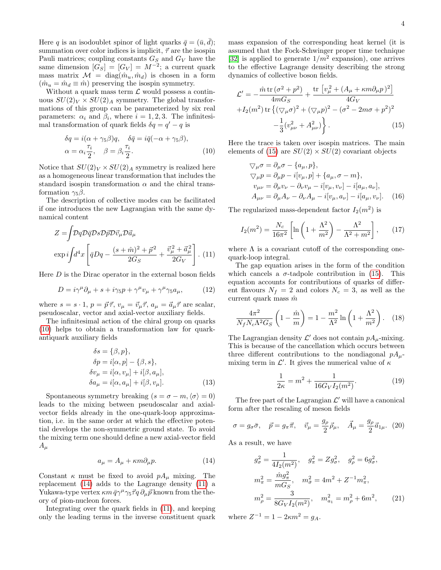Here q is an isodoublet spinor of light quarks  $\bar{q} = (\bar{u}, d)$ ; summation over color indices is implicit,  $\vec{\tau}$  are the isospin Pauli matrices; coupling constants  $G_S$  and  $G_V$  have the same dimension  $[G_S] = [G_V] = M^{-2}$ ; a current quark mass matrix  $\mathcal{M} = \text{diag}(\hat{m}_u, \hat{m}_d)$  is chosen in a form  $(\hat{m}_u = \hat{m}_d \equiv \hat{m})$  preserving the isospin symmetry.

Without a quark mass term  $\mathcal L$  would possess a continuous  $SU(2)_V \times SU(2)_A$  symmetry. The global transformations of this group can be parameterized by six real parameters:  $\alpha_i$  and  $\beta_i$ , where  $i = 1, 2, 3$ . The infinitesimal transformation of quark fields  $\delta q = q' - q$  is

<span id="page-3-0"></span>
$$
\delta q = i(\alpha + \gamma_5 \beta)q, \quad \delta \bar{q} = i\bar{q}(-\alpha + \gamma_5 \beta),
$$
  
\n
$$
\alpha = \alpha_i \frac{\tau_i}{2}, \quad \beta = \beta_i \frac{\tau_i}{2}.
$$
\n(10)

Notice that  $SU(2)_V \times SU(2)_A$  symmetry is realized here as a homogeneous linear transformation that includes the standard isospin transformation  $\alpha$  and the chiral transformation  $\gamma_5 \beta$ .

The description of collective modes can be facilitated if one introduces the new Lagrangian with the same dynamical content

<span id="page-3-2"></span>
$$
Z = \int \mathcal{D}q \mathcal{D}\bar{q} \mathcal{D}s \mathcal{D}\vec{p} \mathcal{D}\vec{v}_{\mu} \mathcal{D}\vec{a}_{\mu}
$$

$$
\exp i \int d^4x \left[ \bar{q} Dq - \frac{(s+\hat{m})^2 + \vec{p}^2}{2G_S} + \frac{\vec{v}_{\mu}^2 + \vec{a}_{\mu}^2}{2G_V} \right]. (11)
$$

Here  $D$  is the Dirac operator in the external boson fields

$$
D = i\gamma^{\mu}\partial_{\mu} + s + i\gamma_{5}p + \gamma^{\mu}v_{\mu} + \gamma^{\mu}\gamma_{5}a_{\mu}, \qquad (12)
$$

where  $s = s \cdot 1$ ,  $p = \vec{p} \vec{\tau}$ ,  $v_{\mu} = \vec{v}_{\mu} \vec{\tau}$ ,  $a_{\mu} = \vec{a}_{\mu} \vec{\tau}$  are scalar, pseudoscalar, vector and axial-vector auxiliary fields.

The infinitesimal action of the chiral group on quarks [\(10\)](#page-3-0) helps to obtain a transformation law for quarkantiquark auxiliary fields

$$
\delta s = {\beta, p},
$$
  
\n
$$
\delta p = i[\alpha, p] - {\beta, s},
$$
  
\n
$$
\delta v_{\mu} = i[\alpha, v_{\mu}] + i[\beta, a_{\mu}],
$$
  
\n
$$
\delta a_{\mu} = i[\alpha, a_{\mu}] + i[\beta, v_{\mu}].
$$
\n(13)

Spontaneous symmetry breaking  $(s = \sigma - m, \langle \sigma \rangle = 0)$ leads to the mixing between pseudoscalar and axialvector fields already in the one-quark-loop approximation, i.e. in the same order at which the effective potential develops the non-symmetric ground state. To avoid the mixing term one should define a new axial-vector field  $A_\mu$ 

<span id="page-3-1"></span>
$$
a_{\mu} = A_{\mu} + \kappa m \partial_{\mu} p. \tag{14}
$$

Constant  $\kappa$  must be fixed to avoid  $pA_\mu$  mixing. The replacement [\(14\)](#page-3-1) adds to the Lagrange density [\(11\)](#page-3-2) a Yukawa-type vertex  $\kappa m \bar{q} \gamma^{\mu} \gamma_5 \vec{\tau} q \partial_{\mu} \vec{p}$  known from the theory of pion-nucleon forces.

Integrating over the quark fields in [\(11\)](#page-3-2), and keeping only the leading terms in the inverse constituent quark mass expansion of the corresponding heat kernel (it is assumed that the Fock-Schwinger proper time technique [\[32\]](#page-8-21) is applied to generate  $1/m^2$  expansion), one arrives to the effective Lagrange density describing the strong dynamics of collective boson fields.

<span id="page-3-3"></span>
$$
\mathcal{L}' = -\frac{\hat{m} \operatorname{tr} (\sigma^2 + p^2)}{4mG_S} + \frac{\operatorname{tr} [v_{\mu}^2 + (A_{\mu} + \kappa m \partial_{\mu} p)^2]}{4G_V} \n+ I_2(m^2) \operatorname{tr} \{ (\nabla_{\mu} \sigma)^2 + (\nabla_{\mu} p)^2 - (\sigma^2 - 2m\sigma + p^2)^2 \n- \frac{1}{3} (v_{\mu\nu}^2 + A_{\mu\nu}^2) \}.
$$
\n(15)

Here the trace is taken over isospin matrices. The main elements of [\(15\)](#page-3-3) are  $SU(2) \times SU(2)$  covariant objects

$$
\nabla_{\mu}\sigma = \partial_{\mu}\sigma - \{a_{\mu}, p\},
$$
  
\n
$$
\nabla_{\mu}p = \partial_{\mu}p - i[v_{\mu}, p] + \{a_{\mu}, \sigma - m\},
$$
  
\n
$$
v_{\mu\nu} = \partial_{\mu}v_{\nu} - \partial_{\nu}v_{\mu} - i[v_{\mu}, v_{\nu}] - i[a_{\mu}, a_{\nu}],
$$
  
\n
$$
A_{\mu\nu} = \partial_{\mu}A_{\nu} - \partial_{\nu}A_{\mu} - i[v_{\mu}, a_{\nu}] - i[a_{\mu}, v_{\nu}].
$$
 (16)

The regularized mass-dependent factor  $I_2(m^2)$  is

<span id="page-3-7"></span>
$$
I_2(m^2) = \frac{N_c}{16\pi^2} \left[ \ln\left(1 + \frac{\Lambda^2}{m^2}\right) - \frac{\Lambda^2}{\Lambda^2 + m^2} \right],\tag{17}
$$

where  $\Lambda$  is a covariant cutoff of the corresponding onequark-loop integral.

The gap equation arises in the form of the condition which cancels a  $\sigma$ -tadpole contribution in [\(15\)](#page-3-3). This equation accounts for contributions of quarks of different flavours  $N_f = 2$  and colors  $N_c = 3$ , as well as the current quark mass  $\hat{m}$ 

<span id="page-3-6"></span>
$$
\frac{4\pi^2}{N_f N_c \Lambda^2 G_S} \left(1 - \frac{\hat{m}}{m}\right) = 1 - \frac{m^2}{\Lambda^2} \ln\left(1 + \frac{\Lambda^2}{m^2}\right). \quad (18)
$$

The Lagrangian density  $\mathcal{L}'$  does not contain  $pA_\mu$ -mixing. This is because of the cancellation which occurs between three different contributions to the nondiagonal  $pA_u$ mixing term in  $\mathcal{L}'$ . It gives the numerical value of  $\kappa$ 

$$
\frac{1}{2\kappa} = m^2 + \frac{1}{16G_V I_2(m^2)}.\tag{19}
$$

The free part of the Lagrangian  $\mathcal{L}'$  will have a canonical form after the rescaling of meson fields

<span id="page-3-4"></span>
$$
\sigma = g_{\sigma}\bar{\sigma}, \quad \vec{p} = g_{\pi}\vec{\pi}, \quad \vec{v}_{\mu} = \frac{g_{\rho}}{2}\vec{\rho}_{\mu}, \quad \vec{A}_{\mu} = \frac{g_{\rho}}{2}\vec{a}_{1\mu}.
$$
 (20)

As a result, we have

<span id="page-3-5"></span>
$$
g_{\sigma}^{2} = \frac{1}{4I_{2}(m^{2})}, \quad g_{\pi}^{2} = Zg_{\sigma}^{2}, \quad g_{\rho}^{2} = 6g_{\sigma}^{2},
$$

$$
m_{\pi}^{2} = \frac{\hat{m}g_{\pi}^{2}}{mG_{S}}, \quad m_{\sigma}^{2} = 4m^{2} + Z^{-1}m_{\pi}^{2},
$$

$$
m_{\rho}^{2} = \frac{3}{8G_{V}I_{2}(m^{2})}, \quad m_{a_{1}}^{2} = m_{\rho}^{2} + 6m^{2}, \qquad (21)
$$

where  $Z^{-1} = 1 - 2\kappa m^2 = g_A$ .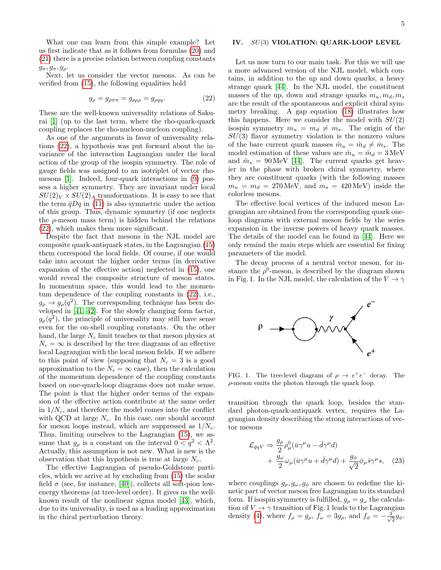What one can learn from this simple example? Let us first indicate that as it follows from formulas [\(20\)](#page-3-4) and [\(21\)](#page-3-5) there is a precise relation between coupling constants  $g_{\sigma}, g_{\pi}, g_{\rho}.$ 

Next, let us consider the vector mesons. As can be verified from [\(15\)](#page-3-3), the following equalities hold

<span id="page-4-0"></span>
$$
g_{\rho} = g_{\rho\pi\pi} = g_{\rho\rho\rho} = g_{\rho qq}.
$$
 (22)

These are the well-known universality relations of Sakurai [\[1\]](#page-8-0) (up to the last term, where the rho-quark-quark coupling replaces the rho-nucleon-nucleon coupling).

As one of the arguments in favor of universality relations [\(22\)](#page-4-0), a hypothesis was put forward about the invariance of the interaction Lagrangian under the local action of the group of the isospin symmetry. The role of gauge fields was assigned to an isotriplet of vector rhomesons [\[1\]](#page-8-0). Indeed, four-quark interactions in [\(9\)](#page-2-1) possess a higher symmetry. They are invariant under local  $SU(2)_V \times SU(2)_A$  transformations. It is easy to see that the term  $\bar{q}Dq$  in [\(11\)](#page-3-2) is also symmetric under the action of this group. Thus, dynamic symmetry (if one neglects the  $\rho$ -meson mass term) is hidden behind the relations [\(22\)](#page-4-0), which makes them more significant.

Despite the fact that mesons in the NJL model are composite quark-antiquark states, in the Lagrangian [\(15\)](#page-3-3) them correspond the local fields. Of course, if one would take into account the higher order terms (in derivative expansion of the effective action) neglected in [\(15\)](#page-3-3), one would reveal the composite structure of meson states. In momentum space, this would lead to the momentum dependence of the coupling constants in [\(22\)](#page-4-0), i.e.,  $g_{\rho} \to g_{\rho}(q^2)$ . The corresponding technique has been developed in [\[41,](#page-8-30) [42\]](#page-8-31). For the slowly changing form factor,  $g_{\rho}(q^2)$ , the principle of universality may still have sense even for the on-shell coupling constants. On the other hand, the large  $N_c$  limit teaches us that meson physics at  $N_c = \infty$  is described by the tree diagrams of an effective local Lagrangian with the local meson fields. If we adhere to this point of view (supposing that  $N_c = 3$  is a good approximation to the  $N_c = \infty$  case), then the calculation of the momentum dependence of the coupling constants based on one-quark-loop diagrams does not make sense. The point is that the higher order terms of the expansion of the effective action contribute at the same order in  $1/N_c$ , and therefore the model comes into the conflict with QCD at large  $N_c$ . In this case, one should account for meson loops instead, which are suppressed as  $1/N_c$ . Thus, limiting ourselves to the Lagrangian [\(15\)](#page-3-3), we assume that  $g_{\rho}$  is a constant on the interval  $0 < q^2 < \Lambda^2$ . Actually, this assumption is not new. What is new is the observation that this hypothesis is true at large  $N_c$ .

The effective Lagrangian of pseudo-Goldstone particles, which we arrive at by excluding from [\(15\)](#page-3-3) the scalar field  $\sigma$  (see, for instance, [\[40\]](#page-8-29)), collects all soft-pion lowenergy theorems (at tree-level order). It gives us the wellknown result of the nonlinear sigma model [\[43\]](#page-8-32), which, due to its universality, is used as a leading approximation in the chiral perturbation theory.

# IV. SU(3) VIOLATION: QUARK-LOOP LEVEL

Let us now turn to our main task. For this we will use a more advanced version of the NJL model, which contains, in addition to the up and down quarks, a heavy strange quark [\[44\]](#page-8-33). In the NJL model, the constituent masses of the up, down and strange quarks  $m_u, m_d, m_s$ are the result of the spontaneous and explicit chiral symmetry breaking. A gap equation [\(18\)](#page-3-6) illustrates how this happens. Here we consider the model with  $SU(2)$ isospin symmetry  $m_u = m_d \neq m_s$ . The origin of the  $SU(3)$  flavor symmetry violation is the nonzero values of the bare current quark masses  $\hat{m}_u = \hat{m}_d \neq \hat{m}_s$ . The model estimation of these values are  $\hat{m}_u = \hat{m}_d = 3 \,\text{MeV}$ and  $\hat{m}_s = 90 \,\text{MeV}$  [\[44\]](#page-8-33). The current quarks get heavier in the phase with broken chiral symmetry, where they are constituent quarks (with the following masses  $m_u = m_d = 270 \,\text{MeV}$ , and  $m_s = 420 \,\text{MeV}$ ) inside the colorless mesons.

The effective local vertices of the induced meson Lagrangian are obtained from the corresponding quark oneloop diagrams with external meson fields by the series expansion in the inverse powers of heavy quark masses. The details of the model can be found in [\[44\]](#page-8-33). Here we only remind the main steps which are essential for fixing parameters of the model.

The decay process of a neutral vector meson, for instance the  $\rho^0$ -meson, is described by the diagram shown in Fig. 1. In the NJL model, the calculation of the  $V \to \gamma$ 



FIG. 1. The tree-level diagram of  $\rho \to e^+e^-$  decay. The  $\rho$ -meson emits the photon through the quark loop.

transition through the quark loop, besides the standard photon-quark-antiquark vertex, requires the Lagrangian density describing the strong interactions of vector mesons

$$
\mathcal{L}_{\bar{q}qV} \Rightarrow \frac{g_{\rho}}{2} \rho_{\mu}^{0} (\bar{u}\gamma^{\mu}u - \bar{d}\gamma^{\mu}d) \n+ \frac{g_{\omega}}{2} \omega_{\mu} (\bar{u}\gamma^{\mu}u + \bar{d}\gamma^{\mu}d) + \frac{g_{\phi}}{\sqrt{2}} \phi_{\mu} \bar{s}\gamma^{\mu} s, \quad (23)
$$

where couplings  $g_{\rho}, g_{\omega}, g_{\phi}$  are chosen to redefine the kinetic part of vector meson free Lagrangian to its standard form. If isospin symmetry is fulfilled,  $g_{\rho} = g_{\omega}$  the calculation of  $V \to \gamma$  transition of Fig. 1 leads to the Lagrangian density [\(4\)](#page-1-0), where  $f_{\rho} = g_{\rho}$ ,  $f_{\omega} = 3g_{\rho}$ , and  $f_{\phi} = -\frac{3}{\sqrt{\rho}}$  $\frac{1}{2}g_{\phi}$ .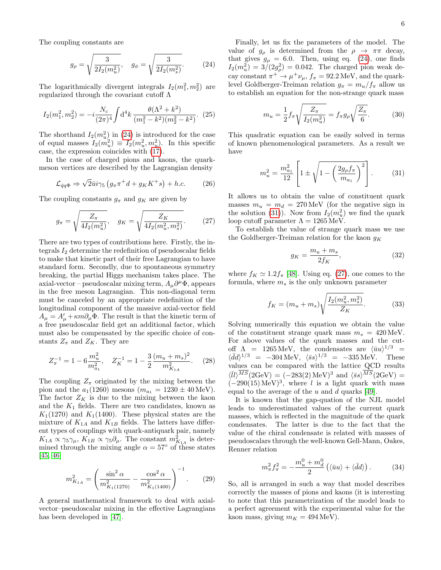The coupling constants are

<span id="page-5-0"></span>
$$
g_{\rho} = \sqrt{\frac{3}{2I_2(m_u^2)}}, \quad g_{\phi} = \sqrt{\frac{3}{2I_2(m_s^2)}}.
$$
 (24)

The logarithmically divergent integrals  $I_2(m_1^2, m_2^2)$  are regularized through the covariant cutoff Λ

$$
I_2(m_1^2, m_2^2) = -i \frac{N_c}{(2\pi)^4} \int d^4k \, \frac{\theta(\Lambda^2 + k^2)}{(m_1^2 - k^2)(m_2^2 - k^2)}.
$$
 (25)

The shorthand  $I_2(m_u^2)$  in [\(24\)](#page-5-0) is introduced for the case of equal masses  $I_2(m_u^2) \equiv I_2(m_u^2, m_u^2)$ . In this specific case, the expression coincides with [\(17\)](#page-3-7).

In the case of charged pions and kaons, the quarkmeson vertices are described by the Lagrangian density

$$
\mathcal{L}_{\bar{q}q\Phi} \Rightarrow \sqrt{2}\bar{u}i\gamma_5 \left(g_\pi \pi^+ d + g_K K^+ s\right) + h.c.
$$
 (26)

The coupling constants  $g_{\pi}$  and  $g_K$  are given by

<span id="page-5-2"></span>
$$
g_{\pi} = \sqrt{\frac{Z_{\pi}}{4I_2(m_u^2)}}, \quad g_K = \sqrt{\frac{Z_K}{4I_2(m_u^2, m_s^2)}}.
$$
 (27)

There are two types of contributions here. Firstly, the integrals  $I_2$  determine the redefinition of pseudoscalar fields to make that kinetic part of their free Lagrangian to have standard form. Secondly, due to spontaneous symmetry breaking, the partial Higgs mechanism takes place. The axial-vector – pseudoscalar mixing term,  $A_\mu \partial^\mu \Phi$ , appears in the free meson Lagrangian. This non-diagonal term must be canceled by an appropriate redefinition of the longitudinal component of the massive axial-vector field  $A_{\mu} = A'_{\mu} + \kappa m \partial_{\mu} \Phi$ . The result is that the kinetic term of a free pseudoscalar field get an additional factor, which must also be compensated by the specific choice of constants  $Z_{\pi}$  and  $Z_K$ . They are

$$
Z_{\pi}^{-1} = 1 - 6 \frac{m_u^2}{m_{a_1}^2}, \quad Z_K^{-1} = 1 - \frac{3}{2} \frac{(m_u + m_s)^2}{m_{K_{1A}}^2}.
$$
 (28)

The coupling  $Z_{\pi}$  originated by the mixing between the pion and the  $a_1(1260)$  mesons  $(m_{a_1} = 1230 \pm 40 \,\text{MeV}).$ The factor  $Z_K$  is due to the mixing between the kaon and the  $K_1$  fields. There are two candidates, known as  $K_1(1270)$  and  $K_1(1400)$ . These physical states are the mixture of  $K_{1A}$  and  $K_{1B}$  fields. The latters have different types of couplings with quark-antiquark pair, namely  $K_{1A} \propto \gamma_5 \gamma_\mu$ ,  $K_{1B} \propto \gamma_5 \partial_\mu$ . The constant  $m_{K_{1A}}^2$  is determined through the mixing angle  $\alpha = 57^{\circ}$  of these states [\[45,](#page-8-34) [46\]](#page-8-35)

$$
m_{K_{1A}}^2 = \left(\frac{\sin^2 \alpha}{m_{K_1(1270)}} - \frac{\cos^2 \alpha}{m_{K_1(1400)}}\right)^{-1}.\tag{29}
$$

A general mathematical framework to deal with axialvector–pseudoscalar mixing in the effective Lagrangians has been developed in [\[47\]](#page-8-36).

Finally, let us fix the parameters of the model. The value of  $g_{\rho}$  is determined from the  $\rho \rightarrow \pi \pi$  decay, that gives  $g_{\rho} = 6.0$ . Then, using eq. [\(24\)](#page-5-0), one finds  $I_2(m_u^2) = 3/(2g_\rho^2) = 0.042$ . The charged pion weak decay constant  $\pi^+ \to \mu^+ \nu_\mu$ ,  $f_\pi = 92.2 \,\text{MeV}$ , and the quarklevel Goldberger-Treiman relation  $g_{\pi} = m_u/f_{\pi}$  allow us to establish an equation for the non-strange quark mass

$$
m_u = \frac{1}{2} f_\pi \sqrt{\frac{Z_\pi}{I_2(m_u^2)}} = f_\pi g_\rho \sqrt{\frac{Z_\pi}{6}}.
$$
 (30)

This quadratic equation can be easily solved in terms of known phenomenological parameters. As a result we have

<span id="page-5-1"></span>
$$
m_u^2 = \frac{m_{a_1}^2}{12} \left[ 1 \pm \sqrt{1 - \left(\frac{2g_\rho f_\pi}{m_{a_1}}\right)^2} \right].
$$
 (31)

It allows us to obtain the value of constituent quark masses  $m_u = m_d = 270 \,\text{MeV}$  (for the negative sign in the solution [\(31\)](#page-5-1)). Now from  $I_2(m_u^2)$  we find the quark loop cutoff parameter  $\Lambda = 1265 \,\text{MeV}$ .

To establish the value of strange quark mass we use the Goldberger-Treiman relation for the kaon  $q_K$ 

$$
g_K = \frac{m_u + m_s}{2f_K},\tag{32}
$$

where  $f_K \simeq 1.2 f_\pi$  [\[48\]](#page-8-37). Using eq. [\(27\)](#page-5-2), one comes to the formula, where  $m<sub>s</sub>$  is the only unknown parameter

$$
f_K = (m_u + m_s) \sqrt{\frac{I_2(m_u^2, m_s^2)}{Z_K}}.
$$
 (33)

Solving numerically this equation we obtain the value of the constituent strange quark mass  $m_s = 420 \,\text{MeV}$ . For above values of the quark masses and the cutoff  $\Lambda$  = 1265 MeV, the condensates are  $\langle \bar{u}u \rangle^{1/3}$  =  $\langle \bar{d}d \rangle^{1/3} = -304 \,\text{MeV}, \, \, \langle \bar{s}s \rangle^{1/3} = -335 \,\text{MeV}.$  These values can be compared with the lattice QCD results  $\langle \bar{l}l\rangle^{\overline{MS}}(2{\rm GeV}) = (-283(2) {\rm\,MeV})^3$  and  $\langle \bar{s}s\rangle^{\overline{MS}}(2{\rm GeV}) =$  $(-290(15) \text{ MeV})^3$ , where l is a light quark with mass equal to the average of the  $u$  and  $d$  quarks [\[49\]](#page-8-38).

It is known that the gap-quation of the NJL model leads to underestimated values of the current quark masses, which is reflected in the magnitude of the quark condensates. The latter is due to the fact that the value of the chiral condensate is related with masses of pseudoscalars through the well-known Gell-Mann, Oakes, Renner relation

$$
m_{\pi}^{2} f_{\pi}^{2} = -\frac{m_{u}^{0} + m_{d}^{0}}{2} \left( \langle \bar{u}u \rangle + \langle \bar{d}d \rangle \right). \tag{34}
$$

So, all is arranged in such a way that model describes correctly the masses of pions and kaons (it is interesting to note that this parametrization of the model leads to a perfect agreement with the experimental value for the kaon mass, giving  $m_K = 494 \,\text{MeV}$ .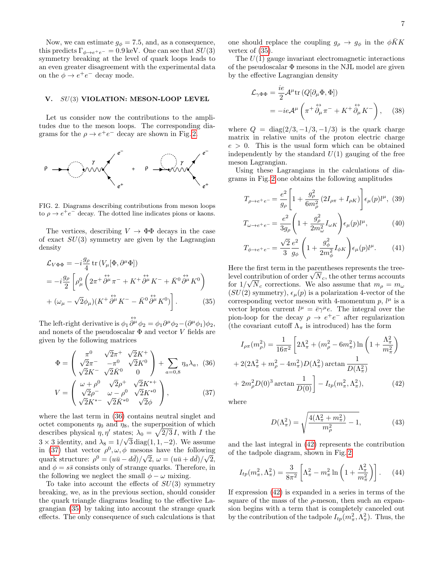Now, we can estimate  $g_{\phi} = 7.5$ , and, as a consequence, this predicts  $\Gamma_{\phi \to e^+e^-} = 0.9 \,\text{keV}$ . One can see that  $SU(3)$ symmetry breaking at the level of quark loops leads to an even greater disagreement with the experimental data on the  $\phi \rightarrow e^+e^-$  decay mode.

#### V. SU(3) VIOLATION: MESON-LOOP LEVEL

Let us consider now the contributions to the amplitudes due to the meson loops. The corresponding diagrams for the  $\rho \to e^+e^-$  decay are shown in Fig. [2.](#page-6-1)



<span id="page-6-1"></span>FIG. 2. Diagrams describing contributions from meson loops to  $\rho \to e^+e^-$  decay. The dotted line indicates pions or kaons.

The vertices, describing  $V \to \Phi \Phi$  decays in the case of exact  $SU(3)$  symmetry are given by the Lagrangian density

<span id="page-6-3"></span>
$$
\mathcal{L}_{V\Phi\Phi} = -i\frac{g_{\rho}}{4} \operatorname{tr} (V_{\mu}[\Phi, \partial^{\mu}\Phi])
$$
  
=  $-i\frac{g_{\rho}}{2} \left[ \rho_{\mu}^{0} \left( 2\pi^{+} \overleftrightarrow{\partial^{\mu}} \pi^{-} + K^{+} \overleftrightarrow{\partial^{\mu}} K^{-} + \overrightarrow{K}^{0} \overleftrightarrow{\partial^{\mu}} K^{0} \right) + (\omega_{\mu} - \sqrt{2}\phi_{\mu})(K^{+} \overleftrightarrow{\partial^{\mu}} K^{-} - \overrightarrow{K}^{0} \overleftrightarrow{\partial^{\mu}} K^{0}) \right].$  (35)

The left-right derivative is  $\phi_1 \overset{\leftrightarrow}{\partial^{\mu}} \phi_2 = \phi_1 \partial^{\mu} \phi_2 - (\partial^{\mu} \phi_1) \phi_2$ , and nonets of the pseudoscalar  $\Phi$  and vector V fields are given by the following matrices

<span id="page-6-2"></span>
$$
\Phi = \begin{pmatrix}\n\pi^0 & \sqrt{2}\pi^+ & \sqrt{2}K^+ \\
\sqrt{2}\pi^- & -\pi^0 & \sqrt{2}K^0 \\
\sqrt{2}K^- & \sqrt{2}\bar{K}^0 & 0\n\end{pmatrix} + \sum_{a=0,8} \eta_a \lambda_a, (36)
$$
\n
$$
V = \begin{pmatrix}\n\omega + \rho^0 & \sqrt{2}\rho^+ & \sqrt{2}K^{*+} \\
\sqrt{2}\rho^- & \omega - \rho^0 & \sqrt{2}K^{*0}\n\end{pmatrix}, (37)
$$

$$
V = \begin{pmatrix} \sqrt{2}\rho^- & \omega - \rho^0 & \sqrt{2}K^{*0} \\ \sqrt{2}K^{*-} & \sqrt{2}\bar{K}^{*0} & \sqrt{2}\phi \end{pmatrix},
$$
  
where the last term in (36) contains neutral singlet and

octet components  $\eta_0$  and  $\eta_8$ , the superposition of which describes physical  $\eta, \eta'$  states;  $\lambda_0 = \sqrt{2/3} I$ , with I the  $3 \times 3$  identity, and  $\lambda_8 = 1/\sqrt{3} \text{diag}(1, 1, -2)$ . We assume in [\(37\)](#page-6-2) that vector  $\rho^0, \omega, \phi$  mesons have the following quark structure:  $\rho^0 = (u\bar{u} - d\bar{d})/\sqrt{2}, \ \omega = (u\bar{u} + d\bar{d})/\sqrt{2},$ and  $\phi = s\bar{s}$  consists only of strange quarks. Therefore, in the following we neglect the small  $\phi - \omega$  mixing.

To take into account the effects of  $SU(3)$  symmetry breaking, we, as in the previous section, should consider the quark triangle diagrams leading to the effective Lagrangian [\(35\)](#page-6-3) by taking into account the strange quark effects. The only consequence of such calculations is that one should replace the coupling  $g_{\rho} \rightarrow g_{\phi}$  in the  $\phi K K$ vertex of [\(35\)](#page-6-3).

The  $U(1)$  gauge invariant electromagnetic interactions of the pseudoscalar  $\Phi$  mesons in the NJL model are given by the effective Lagrangian density

<span id="page-6-0"></span>
$$
\mathcal{L}_{\gamma\Phi\Phi} = \frac{ie}{2} \mathcal{A}^{\mu} \text{tr}\left(Q[\partial_{\mu}\Phi, \Phi]\right)
$$
  
= -ie\mathcal{A}^{\mu}\left(\pi^{+} \stackrel{\leftrightarrow}{\partial\_{\mu}} \pi^{-} + K^{+} \stackrel{\leftrightarrow}{\partial\_{\mu}} K^{-}\right), (38)

where  $Q = \text{diag}(2/3, -1/3, -1/3)$  is the quark charge matrix in relative units of the proton electric charge  $e > 0$ . This is the usual form which can be obtained independently by the standard  $U(1)$  gauging of the free meson Lagrangian.

Using these Lagrangians in the calculations of diagrams in Fig. [2](#page-6-1) one obtains the following amplitudes

$$
T_{\rho \to e^+ e^-} = \frac{e^2}{g_\rho} \left[ 1 + \frac{g_\rho^2}{6m_\rho^2} \left( 2I_{\rho \pi} + I_{\rho K} \right) \right] \epsilon_\mu(p) l^\mu, (39)
$$

$$
T_{\omega \to e^+ e^-} = \frac{e^2}{3g_\rho} \left( 1 + \frac{g_\rho^2}{2m_\omega^2} I_{\omega K} \right) \epsilon_\mu(p) l^\mu, \tag{40}
$$

$$
T_{\phi \to e^+ e^-} = \frac{\sqrt{2}}{3} \frac{e^2}{g_\phi} \left( 1 + \frac{g_\phi^2}{2m_\phi^2} I_{\phi K} \right) \epsilon_\mu(p) l^\mu. \tag{41}
$$

Here the first term in the parentheses represents the tree-Here the first term in the parentheses represents the tree-<br>level contribution of order  $\sqrt{N}_c$ , the other terms accounts for  $1/\sqrt{N_c}$  corrections. We also assume that  $m_\rho = m_\omega$  $(SU(2)$  symmetry),  $\epsilon_{\mu}(p)$  is a polarization 4-vector of the corresponding vector meson with 4-momentum  $p$ ,  $l^{\mu}$  is a vector lepton current  $l^{\mu} = \bar{e}\gamma^{\mu}e$ . The integral over the pion-loop for the decay  $\rho \to e^+e^-$  after regularization (the covariant cutoff  $\Lambda_{\pi}$  is introduced) has the form

<span id="page-6-4"></span>
$$
I_{\rho\pi}(m_{\rho}^2) = \frac{1}{16\pi^2} \left[ 2\Lambda_{\pi}^2 + (m_{\rho}^2 - 6m_{\pi}^2) \ln\left(1 + \frac{\Lambda_{\pi}^2}{m_{\pi}^2}\right) + 2(2\Lambda_{\pi}^2 + m_{\rho}^2 - 4m_{\pi}^2)D(\Lambda_{\pi}^2) \arctan\frac{1}{D(\Lambda_{\pi}^2)} + 2m_{\rho}^2 D(0)^3 \arctan\frac{1}{D(0)} \right] - I_{tp}(m_{\pi}^2, \Lambda_{\pi}^2), \tag{42}
$$

where

$$
D(\Lambda_{\pi}^{2}) = \sqrt{\frac{4(\Lambda_{\pi}^{2} + m_{\pi}^{2})}{m_{\rho}^{2}} - 1},
$$
 (43)

and the last integral in [\(42\)](#page-6-4) represents the contribution of the tadpole diagram, shown in Fig. [2](#page-6-1)

$$
I_{tp}(m_{\pi}^2, \Lambda_{\pi}^2) = \frac{3}{8\pi^2} \left[ \Lambda_{\pi}^2 - m_{\pi}^2 \ln \left( 1 + \frac{\Lambda_{\pi}^2}{m_{\pi}^2} \right) \right].
$$
 (44)

If expression [\(42\)](#page-6-4) is expanded in a series in terms of the square of the mass of the  $\rho$ -meson, then such an expansion begins with a term that is completely canceled out by the contribution of the tadpole  $I_{tp}(m_{\pi}^2, \Lambda_{\pi}^2)$ . Thus, the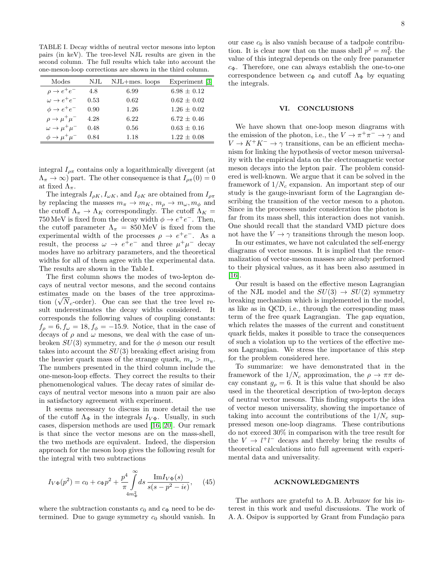TABLE I. Decay widths of neutral vector mesons into lepton pairs (in keV). The tree-level NJL results are given in the second column. The full results which take into account the one-meson-loop corrections are shown in the third column.

| Modes                            | NJL  | $NJL+mes.$ loops | Experiment [3]  |
|----------------------------------|------|------------------|-----------------|
| $\rho \rightarrow e^+e^-$        | 4.8  | 6.99             | $6.98 \pm 0.12$ |
| $\omega \rightarrow e^+e^-$      | 0.53 | 0.62             | $0.62 + 0.02$   |
| $\phi \rightarrow e^+e^-$        | 0.90 | 1.26             | $1.26 + 0.02$   |
| $\rho \rightarrow \mu^+ \mu^-$   | 4.28 | 6.22             | $6.72 + 0.46$   |
| $\omega \rightarrow \mu^+ \mu^-$ | 0.48 | 0.56             | $0.63 + 0.16$   |
| $\phi \rightarrow \mu^+ \mu^-$   | 0.84 | 1.18             | $1.22 + 0.08$   |

integral  $I_{\rho\pi}$  contains only a logarithmically divergent (at  $(\Lambda_{\pi} \to \infty)$  part. The other consequence is that  $I_{\rho\pi}(0) = 0$ at fixed  $\Lambda_{\pi}$ .

The integrals  $I_{\rho K}$ ,  $I_{\omega K}$ , and  $I_{\phi K}$  are obtained from  $I_{\rho \pi}$ by replacing the masses  $m_{\pi} \to m_K$ ,  $m_{\rho} \to m_{\omega}$ ,  $m_{\phi}$  and the cutoff  $\Lambda_{\pi} \to \Lambda_K$  correspondingly. The cutoff  $\Lambda_K =$ 750 MeV is fixed from the decay width  $\phi \to e^+e^-$ . Then, the cutoff parameter  $\Lambda_{\pi} = 850 \,\text{MeV}$  is fixed from the experimental width of the processes  $\rho \rightarrow e^+e^-$ . As a result, the process  $\omega \to e^+e^-$  and three  $\mu^+\mu^-$  decay modes have no arbitrary parameters, and the theoretical widths for all of them agree with the experimental data. The results are shown in the Table I.

The first column shows the modes of two-lepton decays of neutral vector mesons, and the second contains estimates made on the bases of the tree approximaestimates made on the bases of the tree approxima-<br>tion ( $\sqrt{N_c}$ -order). One can see that the tree level result underestimates the decay widths considered. It corresponds the following values of coupling constants:  $f_{\rho} = 6, f_{\omega} = 18, f_{\phi} = -15.9$ . Notice, that in the case of decays of  $\rho$  and  $\omega$  mesons, we deal with the case of unbroken  $SU(3)$  symmetry, and for the  $\phi$  meson our result takes into account the  $SU(3)$  breaking effect arising from the heavier quark mass of the strange quark,  $m_s > m_u$ . The numbers presented in the third column include the one-meson-loop effects. They correct the results to their phenomenological values. The decay rates of similar decays of neutral vector mesons into a muon pair are also in satisfactory agreement with experiment.

It seems necessary to discuss in more detail the use of the cutoff  $\Lambda_{\Phi}$  in the integrals  $I_{V\Phi}$ . Usually, in such cases, dispersion methods are used [\[16,](#page-8-12) [20\]](#page-8-16). Our remark is that since the vector mesons are on the mass-shell, the two methods are equivalent. Indeed, the dispersion approach for the meson loop gives the following result for the integral with two subtractions

$$
I_{V\Phi}(p^2) = c_0 + c_{\Phi}p^2 + \frac{p^4}{\pi} \int_{4m_{\Phi}^2}^{\infty} ds \frac{\text{Im}I_{V\Phi}(s)}{s(s - p^2 - i\epsilon)},
$$
 (45)

where the subtraction constants  $c_0$  and  $c_{\Phi}$  need to be determined. Due to gauge symmetry  $c_0$  should vanish. In

our case  $c_0$  is also vanish because of a tadpole contribution. It is clear now that on the mass shell  $p^2 = m_V^2$  the value of this integral depends on the only free parameter  $c_{\Phi}$ . Therefore, one can always establish the one-to-one correspondence between  $c_{\Phi}$  and cutoff  $\Lambda_{\Phi}$  by equating the integrals.

### VI. CONCLUSIONS

We have shown that one-loop meson diagrams with the emission of the photon, i.e., the  $V \to \pi^+ \pi^- \to \gamma$  and  $V \to K^+K^- \to \gamma$  transitions, can be an efficient mechanism for linking the hypothesis of vector meson universality with the empirical data on the electromagnetic vector meson decays into the lepton pair. The problem considered is well-known. We argue that it can be solved in the framework of  $1/N_c$  expansion. An important step of our study is the gauge-invariant form of the Lagrangian describing the transition of the vector meson to a photon. Since in the processes under consideration the photon is far from its mass shell, this interaction does not vanish. One should recall that the standard VMD picture does not have the  $V \to \gamma$  transitions through the meson loop.

In our estimates, we have not calculated the self-energy diagrams of vector mesons. It is implied that the renormalization of vector-meson masses are already performed to their physical values, as it has been also assumed in [\[16\]](#page-8-12).

Our result is based on the effective meson Lagrangian of the NJL model and the  $SU(3) \rightarrow SU(2)$  symmetry breaking mechanism which is implemented in the model, as like as in QCD, i.e., through the corresponding mass term of the free quark Lagrangian. The gap equation, which relates the masses of the current and constituent quark fields, makes it possible to trace the consequences of such a violation up to the vertices of the effective meson Lagrangian. We stress the importance of this step for the problem considered here.

To summarize: we have demonstrated that in the framework of the  $1/N_c$  approximation, the  $\rho \to \pi \pi$  decay constant  $g_{\rho} = 6$ . It is this value that should be also used in the theoretical description of two-lepton decays of neutral vector mesons. This finding supports the idea of vector meson universality, showing the importance of taking into account the contributions of the  $1/N_c$  suppressed meson one-loop diagrams. These contributions do not exceed 30% in comparison with the tree result for the  $V \rightarrow l^+l^-$  decays and thereby bring the results of theoretical calculations into full agreement with experimental data and universality.

### ACKNOWLEDGMENTS

The authors are grateful to A. B. Arbuzov for his interest in this work and useful discussions. The work of A. A. Osipov is supported by Grant from Fundação para